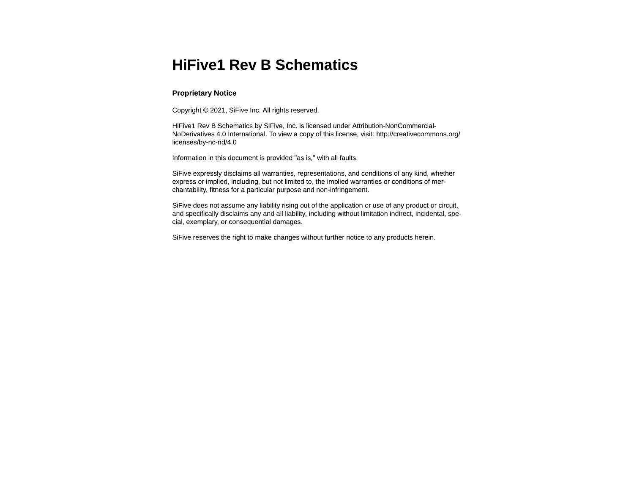## **HiFive1 Rev B Schematics**

## **Proprietary Notice**

Copyright © 2021, SiFive Inc. All rights reserved.

HiFive1 Rev B Schematics by SiFive, Inc. is licensed under Attribution-NonCommercial-NoDerivatives 4.0 International. To view a copy of this license, visit: http://creativecommons.org/ licenses/by-nc-nd/4.0

Information in this document is provided "as is," with all faults.

SiFive expressly disclaims all warranties, representations, and conditions of any kind, whether express or implied, including, but not limited to, the implied warranties or conditions of merchantability, fitness for a particular purpose and non-infringement.

SiFive does not assume any liability rising out of the application or use of any product or circuit, and specifically disclaims any and all liability, including without limitation indirect, incidental, special, exemplary, or consequential damages.

SiFive reserves the right to make changes without further notice to any products herein.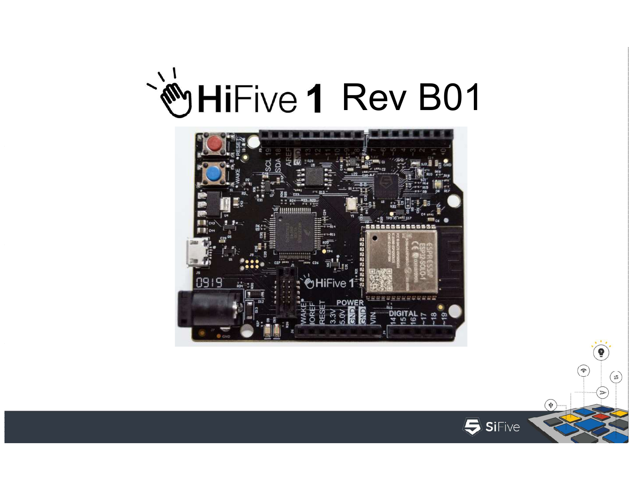



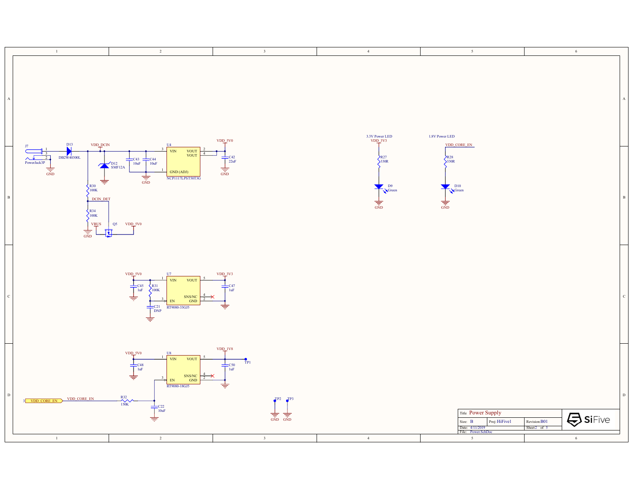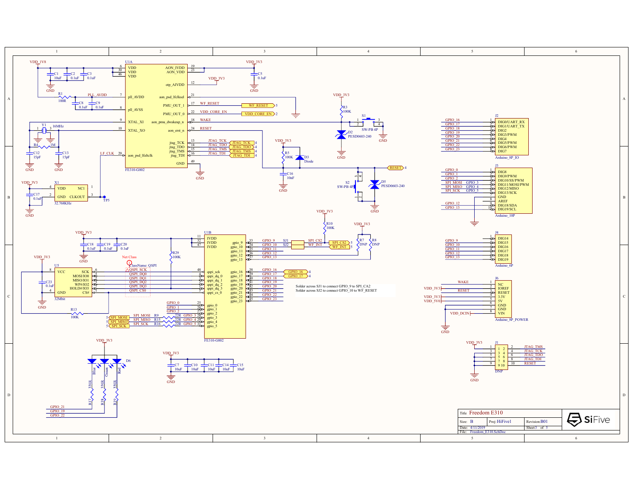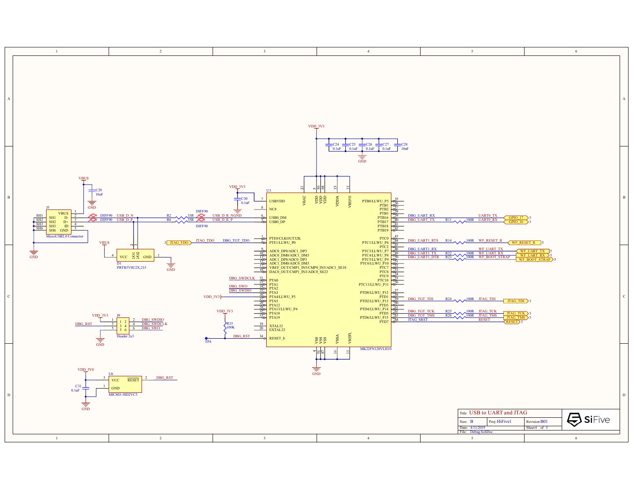